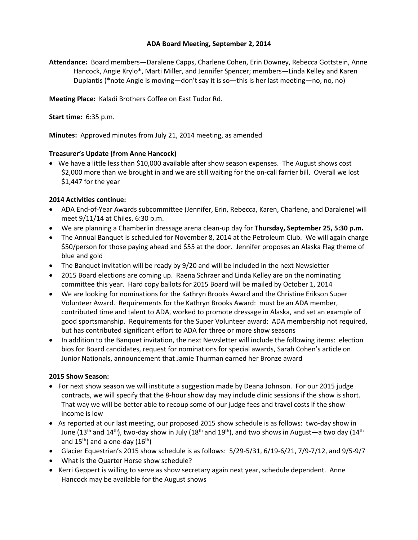## **ADA Board Meeting, September 2, 2014**

**Attendance:** Board members—Daralene Capps, Charlene Cohen, Erin Downey, Rebecca Gottstein, Anne Hancock, Angie Krylo\*, Marti Miller, and Jennifer Spencer; members—Linda Kelley and Karen Duplantis (\*note Angie is moving—don't say it is so—this is her last meeting—no, no, no)

**Meeting Place:** Kaladi Brothers Coffee on East Tudor Rd.

**Start time:** 6:35 p.m.

**Minutes:** Approved minutes from July 21, 2014 meeting, as amended

## **Treasurer's Update (from Anne Hancock)**

• We have a little less than \$10,000 available after show season expenses. The August shows cost \$2,000 more than we brought in and we are still waiting for the on-call farrier bill. Overall we lost \$1,447 for the year

## **2014 Activities continue:**

- ADA End-of-Year Awards subcommittee (Jennifer, Erin, Rebecca, Karen, Charlene, and Daralene) will meet 9/11/14 at Chiles, 6:30 p.m.
- We are planning a Chamberlin dressage arena clean-up day for **Thursday, September 25, 5:30 p.m.**
- The Annual Banquet is scheduled for November 8, 2014 at the Petroleum Club. We will again charge \$50/person for those paying ahead and \$55 at the door. Jennifer proposes an Alaska Flag theme of blue and gold
- The Banquet invitation will be ready by 9/20 and will be included in the next Newsletter
- 2015 Board elections are coming up. Raena Schraer and Linda Kelley are on the nominating committee this year. Hard copy ballots for 2015 Board will be mailed by October 1, 2014
- We are looking for nominations for the Kathryn Brooks Award and the Christine Erikson Super Volunteer Award. Requirements for the Kathryn Brooks Award: must be an ADA member, contributed time and talent to ADA, worked to promote dressage in Alaska, and set an example of good sportsmanship. Requirements for the Super Volunteer award: ADA membership not required, but has contributed significant effort to ADA for three or more show seasons
- In addition to the Banquet invitation, the next Newsletter will include the following items: election bios for Board candidates, request for nominations for special awards, Sarah Cohen's article on Junior Nationals, announcement that Jamie Thurman earned her Bronze award

## **2015 Show Season:**

- For next show season we will institute a suggestion made by Deana Johnson. For our 2015 judge contracts, we will specify that the 8-hour show day may include clinic sessions if the show is short. That way we will be better able to recoup some of our judge fees and travel costs if the show income is low
- As reported at our last meeting, our proposed 2015 show schedule is as follows: two-day show in June (13<sup>th</sup> and 14<sup>th</sup>), two-day show in July (18<sup>th</sup> and 19<sup>th</sup>), and two shows in August—a two day (14<sup>th</sup>) and  $15^{th}$ ) and a one-day ( $16^{th}$ )
- Glacier Equestrian's 2015 show schedule is as follows: 5/29-5/31, 6/19-6/21, 7/9-7/12, and 9/5-9/7
- What is the Quarter Horse show schedule?
- Kerri Geppert is willing to serve as show secretary again next year, schedule dependent. Anne Hancock may be available for the August shows